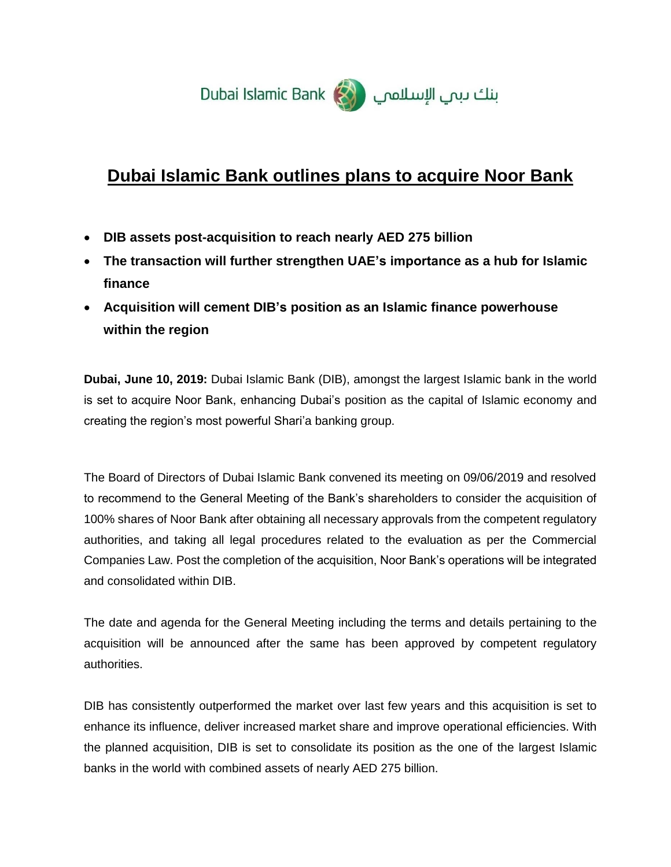

# **Dubai Islamic Bank outlines plans to acquire Noor Bank**

- **DIB assets post-acquisition to reach nearly AED 275 billion**
- **The transaction will further strengthen UAE's importance as a hub for Islamic finance**
- **Acquisition will cement DIB's position as an Islamic finance powerhouse within the region**

**Dubai, June 10, 2019:** Dubai Islamic Bank (DIB), amongst the largest Islamic bank in the world is set to acquire Noor Bank, enhancing Dubai's position as the capital of Islamic economy and creating the region's most powerful Shari'a banking group.

The Board of Directors of Dubai Islamic Bank convened its meeting on 09/06/2019 and resolved to recommend to the General Meeting of the Bank's shareholders to consider the acquisition of 100% shares of Noor Bank after obtaining all necessary approvals from the competent regulatory authorities, and taking all legal procedures related to the evaluation as per the Commercial Companies Law. Post the completion of the acquisition, Noor Bank's operations will be integrated and consolidated within DIB.

The date and agenda for the General Meeting including the terms and details pertaining to the acquisition will be announced after the same has been approved by competent regulatory authorities.

DIB has consistently outperformed the market over last few years and this acquisition is set to enhance its influence, deliver increased market share and improve operational efficiencies. With the planned acquisition, DIB is set to consolidate its position as the one of the largest Islamic banks in the world with combined assets of nearly AED 275 billion.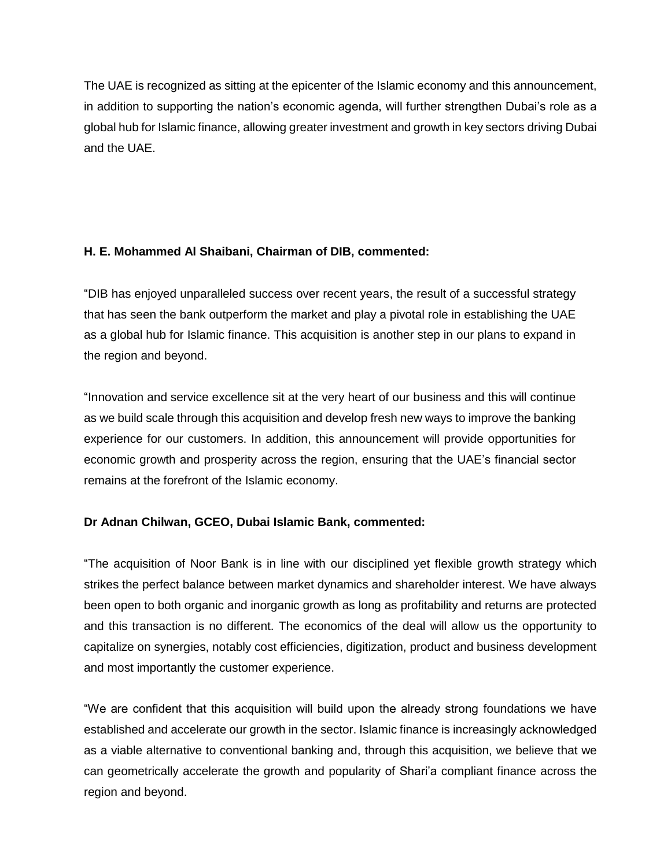The UAE is recognized as sitting at the epicenter of the Islamic economy and this announcement, in addition to supporting the nation's economic agenda, will further strengthen Dubai's role as a global hub for Islamic finance, allowing greater investment and growth in key sectors driving Dubai and the UAE.

### **H. E. Mohammed Al Shaibani, Chairman of DIB, commented:**

"DIB has enjoyed unparalleled success over recent years, the result of a successful strategy that has seen the bank outperform the market and play a pivotal role in establishing the UAE as a global hub for Islamic finance. This acquisition is another step in our plans to expand in the region and beyond.

"Innovation and service excellence sit at the very heart of our business and this will continue as we build scale through this acquisition and develop fresh new ways to improve the banking experience for our customers. In addition, this announcement will provide opportunities for economic growth and prosperity across the region, ensuring that the UAE's financial sector remains at the forefront of the Islamic economy.

# **Dr Adnan Chilwan, GCEO, Dubai Islamic Bank, commented:**

"The acquisition of Noor Bank is in line with our disciplined yet flexible growth strategy which strikes the perfect balance between market dynamics and shareholder interest. We have always been open to both organic and inorganic growth as long as profitability and returns are protected and this transaction is no different. The economics of the deal will allow us the opportunity to capitalize on synergies, notably cost efficiencies, digitization, product and business development and most importantly the customer experience.

"We are confident that this acquisition will build upon the already strong foundations we have established and accelerate our growth in the sector. Islamic finance is increasingly acknowledged as a viable alternative to conventional banking and, through this acquisition, we believe that we can geometrically accelerate the growth and popularity of Shari'a compliant finance across the region and beyond.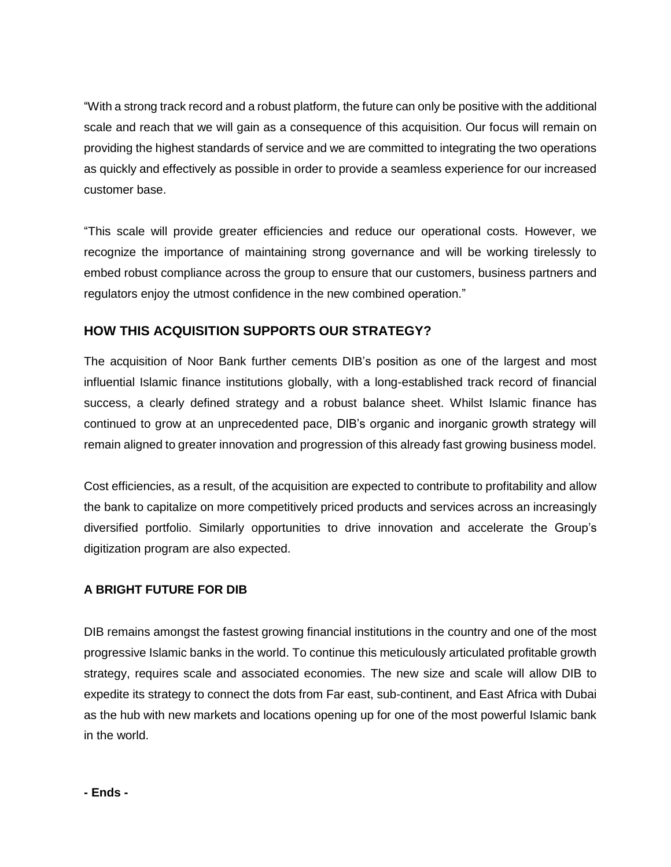"With a strong track record and a robust platform, the future can only be positive with the additional scale and reach that we will gain as a consequence of this acquisition. Our focus will remain on providing the highest standards of service and we are committed to integrating the two operations as quickly and effectively as possible in order to provide a seamless experience for our increased customer base.

"This scale will provide greater efficiencies and reduce our operational costs. However, we recognize the importance of maintaining strong governance and will be working tirelessly to embed robust compliance across the group to ensure that our customers, business partners and regulators enjoy the utmost confidence in the new combined operation."

# **HOW THIS ACQUISITION SUPPORTS OUR STRATEGY?**

The acquisition of Noor Bank further cements DIB's position as one of the largest and most influential Islamic finance institutions globally, with a long-established track record of financial success, a clearly defined strategy and a robust balance sheet. Whilst Islamic finance has continued to grow at an unprecedented pace, DIB's organic and inorganic growth strategy will remain aligned to greater innovation and progression of this already fast growing business model.

Cost efficiencies, as a result, of the acquisition are expected to contribute to profitability and allow the bank to capitalize on more competitively priced products and services across an increasingly diversified portfolio. Similarly opportunities to drive innovation and accelerate the Group's digitization program are also expected.

# **A BRIGHT FUTURE FOR DIB**

DIB remains amongst the fastest growing financial institutions in the country and one of the most progressive Islamic banks in the world. To continue this meticulously articulated profitable growth strategy, requires scale and associated economies. The new size and scale will allow DIB to expedite its strategy to connect the dots from Far east, sub-continent, and East Africa with Dubai as the hub with new markets and locations opening up for one of the most powerful Islamic bank in the world.